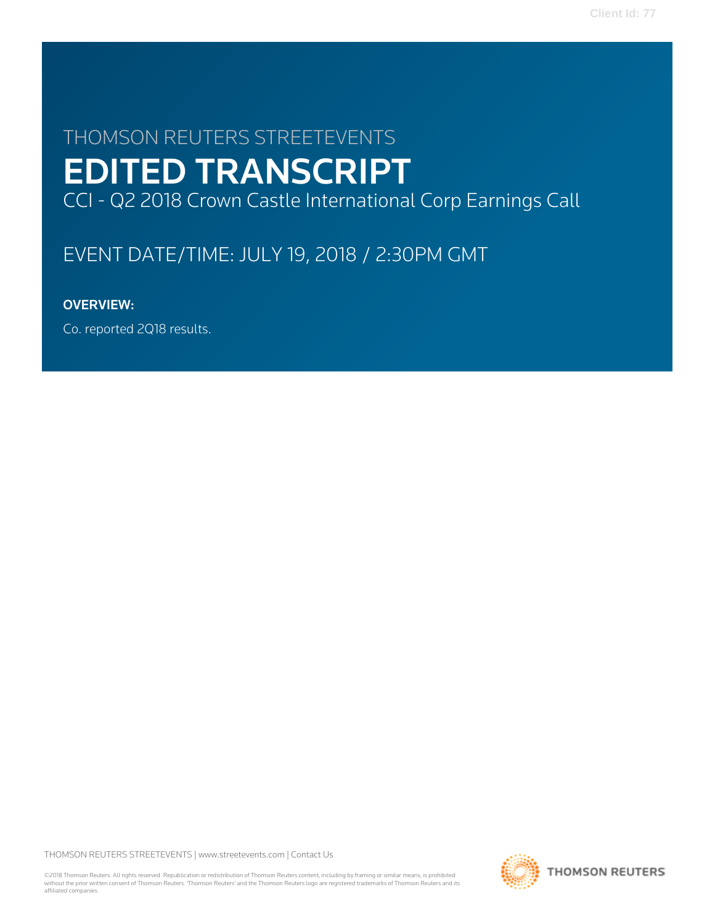# THOMSON REUTERS STREETEVENTS EDITED TRANSCRIPT CCI - Q2 2018 Crown Castle International Corp Earnings Call

# EVENT DATE/TIME: JULY 19, 2018 / 2:30PM GMT

# OVERVIEW:

Co. reported 2Q18 results.

THOMSON REUTERS STREETEVENTS | [www.streetevents.com](http://www.streetevents.com) | [Contact Us](http://www010.streetevents.com/contact.asp)

©2018 Thomson Reuters. All rights reserved. Republication or redistribution of Thomson Reuters content, including by framing or similar means, is prohibited without the prior written consent of Thomson Reuters. 'Thomson Reuters' and the Thomson Reuters logo are registered trademarks of Thomson Reuters and its affiliated companies.

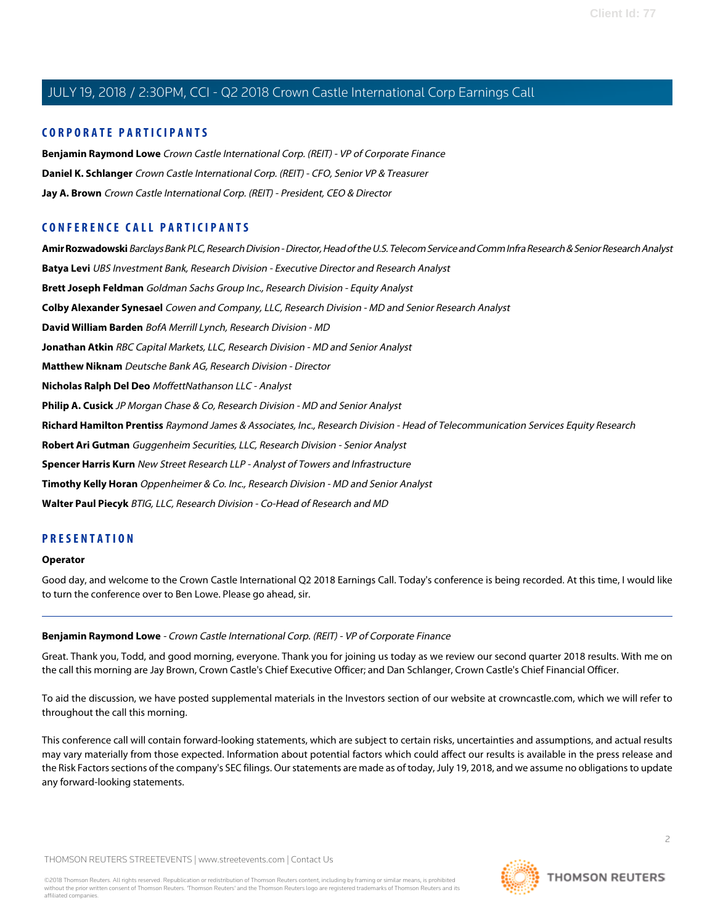# **CORPORATE PARTICIPANTS**

**[Benjamin Raymond Lowe](#page-1-0)** Crown Castle International Corp. (REIT) - VP of Corporate Finance **[Daniel K. Schlanger](#page-3-0)** Crown Castle International Corp. (REIT) - CFO, Senior VP & Treasurer **[Jay A. Brown](#page-2-0)** Crown Castle International Corp. (REIT) - President, CEO & Director

# **CONFERENCE CALL PARTICIPANTS**

**[Amir Rozwadowski](#page-12-0)** Barclays Bank PLC, Research Division - Director, Head of the U.S. Telecom Service and Comm Infra Research & Senior Research Analyst **[Batya Levi](#page-16-0)** UBS Investment Bank, Research Division - Executive Director and Research Analyst **[Brett Joseph Feldman](#page-8-0)** Goldman Sachs Group Inc., Research Division - Equity Analyst **[Colby Alexander Synesael](#page-13-0)** Cowen and Company, LLC, Research Division - MD and Senior Research Analyst **[David William Barden](#page-5-0)** BofA Merrill Lynch, Research Division - MD **[Jonathan Atkin](#page-6-0)** RBC Capital Markets, LLC, Research Division - MD and Senior Analyst **[Matthew Niknam](#page-11-0)** Deutsche Bank AG, Research Division - Director **[Nicholas Ralph Del Deo](#page-4-0)** MoffettNathanson LLC - Analyst **[Philip A. Cusick](#page-10-0)** JP Morgan Chase & Co, Research Division - MD and Senior Analyst **[Richard Hamilton Prentiss](#page-9-0)** Raymond James & Associates, Inc., Research Division - Head of Telecommunication Services Equity Research **[Robert Ari Gutman](#page-17-0)** Guggenheim Securities, LLC, Research Division - Senior Analyst **[Spencer Harris Kurn](#page-15-0)** New Street Research LLP - Analyst of Towers and Infrastructure **[Timothy Kelly Horan](#page-17-1)** Oppenheimer & Co. Inc., Research Division - MD and Senior Analyst **[Walter Paul Piecyk](#page-14-0)** BTIG, LLC, Research Division - Co-Head of Research and MD

# **PRESENTATION**

#### **Operator**

<span id="page-1-0"></span>Good day, and welcome to the Crown Castle International Q2 2018 Earnings Call. Today's conference is being recorded. At this time, I would like to turn the conference over to Ben Lowe. Please go ahead, sir.

#### **Benjamin Raymond Lowe** - Crown Castle International Corp. (REIT) - VP of Corporate Finance

Great. Thank you, Todd, and good morning, everyone. Thank you for joining us today as we review our second quarter 2018 results. With me on the call this morning are Jay Brown, Crown Castle's Chief Executive Officer; and Dan Schlanger, Crown Castle's Chief Financial Officer.

To aid the discussion, we have posted supplemental materials in the Investors section of our website at crowncastle.com, which we will refer to throughout the call this morning.

This conference call will contain forward-looking statements, which are subject to certain risks, uncertainties and assumptions, and actual results may vary materially from those expected. Information about potential factors which could affect our results is available in the press release and the Risk Factors sections of the company's SEC filings. Our statements are made as of today, July 19, 2018, and we assume no obligations to update any forward-looking statements.

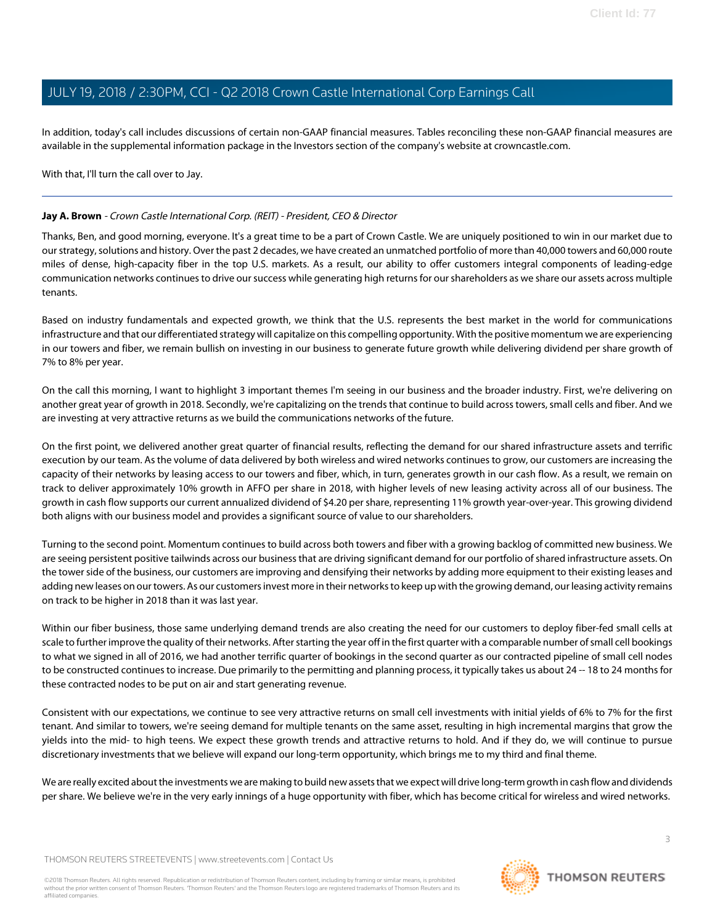In addition, today's call includes discussions of certain non-GAAP financial measures. Tables reconciling these non-GAAP financial measures are available in the supplemental information package in the Investors section of the company's website at crowncastle.com.

With that, I'll turn the call over to Jay.

## <span id="page-2-0"></span>**Jay A. Brown** - Crown Castle International Corp. (REIT) - President, CEO & Director

Thanks, Ben, and good morning, everyone. It's a great time to be a part of Crown Castle. We are uniquely positioned to win in our market due to our strategy, solutions and history. Over the past 2 decades, we have created an unmatched portfolio of more than 40,000 towers and 60,000 route miles of dense, high-capacity fiber in the top U.S. markets. As a result, our ability to offer customers integral components of leading-edge communication networks continues to drive our success while generating high returns for our shareholders as we share our assets across multiple tenants.

Based on industry fundamentals and expected growth, we think that the U.S. represents the best market in the world for communications infrastructure and that our differentiated strategy will capitalize on this compelling opportunity. With the positive momentum we are experiencing in our towers and fiber, we remain bullish on investing in our business to generate future growth while delivering dividend per share growth of 7% to 8% per year.

On the call this morning, I want to highlight 3 important themes I'm seeing in our business and the broader industry. First, we're delivering on another great year of growth in 2018. Secondly, we're capitalizing on the trends that continue to build across towers, small cells and fiber. And we are investing at very attractive returns as we build the communications networks of the future.

On the first point, we delivered another great quarter of financial results, reflecting the demand for our shared infrastructure assets and terrific execution by our team. As the volume of data delivered by both wireless and wired networks continues to grow, our customers are increasing the capacity of their networks by leasing access to our towers and fiber, which, in turn, generates growth in our cash flow. As a result, we remain on track to deliver approximately 10% growth in AFFO per share in 2018, with higher levels of new leasing activity across all of our business. The growth in cash flow supports our current annualized dividend of \$4.20 per share, representing 11% growth year-over-year. This growing dividend both aligns with our business model and provides a significant source of value to our shareholders.

Turning to the second point. Momentum continues to build across both towers and fiber with a growing backlog of committed new business. We are seeing persistent positive tailwinds across our business that are driving significant demand for our portfolio of shared infrastructure assets. On the tower side of the business, our customers are improving and densifying their networks by adding more equipment to their existing leases and adding new leases on our towers. As our customers invest more in their networks to keep up with the growing demand, our leasing activity remains on track to be higher in 2018 than it was last year.

Within our fiber business, those same underlying demand trends are also creating the need for our customers to deploy fiber-fed small cells at scale to further improve the quality of their networks. After starting the year off in the first quarter with a comparable number of small cell bookings to what we signed in all of 2016, we had another terrific quarter of bookings in the second quarter as our contracted pipeline of small cell nodes to be constructed continues to increase. Due primarily to the permitting and planning process, it typically takes us about 24 -- 18 to 24 months for these contracted nodes to be put on air and start generating revenue.

Consistent with our expectations, we continue to see very attractive returns on small cell investments with initial yields of 6% to 7% for the first tenant. And similar to towers, we're seeing demand for multiple tenants on the same asset, resulting in high incremental margins that grow the yields into the mid- to high teens. We expect these growth trends and attractive returns to hold. And if they do, we will continue to pursue discretionary investments that we believe will expand our long-term opportunity, which brings me to my third and final theme.

We are really excited about the investments we are making to build new assets that we expect will drive long-term growth in cash flow and dividends per share. We believe we're in the very early innings of a huge opportunity with fiber, which has become critical for wireless and wired networks.

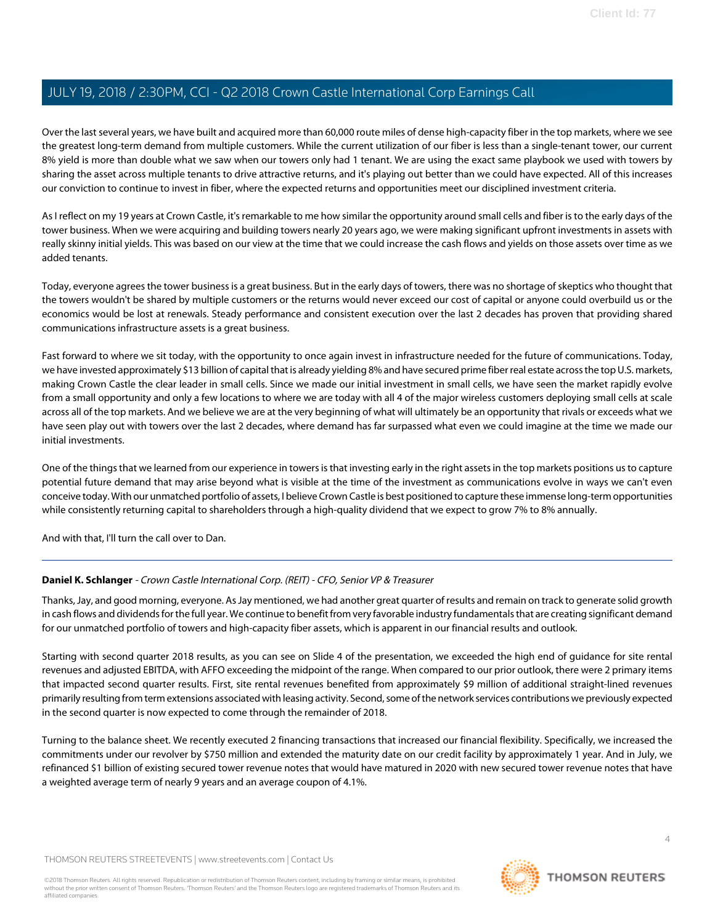Over the last several years, we have built and acquired more than 60,000 route miles of dense high-capacity fiber in the top markets, where we see the greatest long-term demand from multiple customers. While the current utilization of our fiber is less than a single-tenant tower, our current 8% yield is more than double what we saw when our towers only had 1 tenant. We are using the exact same playbook we used with towers by sharing the asset across multiple tenants to drive attractive returns, and it's playing out better than we could have expected. All of this increases our conviction to continue to invest in fiber, where the expected returns and opportunities meet our disciplined investment criteria.

As I reflect on my 19 years at Crown Castle, it's remarkable to me how similar the opportunity around small cells and fiber is to the early days of the tower business. When we were acquiring and building towers nearly 20 years ago, we were making significant upfront investments in assets with really skinny initial yields. This was based on our view at the time that we could increase the cash flows and yields on those assets over time as we added tenants.

Today, everyone agrees the tower business is a great business. But in the early days of towers, there was no shortage of skeptics who thought that the towers wouldn't be shared by multiple customers or the returns would never exceed our cost of capital or anyone could overbuild us or the economics would be lost at renewals. Steady performance and consistent execution over the last 2 decades has proven that providing shared communications infrastructure assets is a great business.

Fast forward to where we sit today, with the opportunity to once again invest in infrastructure needed for the future of communications. Today, we have invested approximately \$13 billion of capital that is already yielding 8% and have secured prime fiber real estate across the top U.S. markets, making Crown Castle the clear leader in small cells. Since we made our initial investment in small cells, we have seen the market rapidly evolve from a small opportunity and only a few locations to where we are today with all 4 of the major wireless customers deploying small cells at scale across all of the top markets. And we believe we are at the very beginning of what will ultimately be an opportunity that rivals or exceeds what we have seen play out with towers over the last 2 decades, where demand has far surpassed what even we could imagine at the time we made our initial investments.

One of the things that we learned from our experience in towers is that investing early in the right assets in the top markets positions us to capture potential future demand that may arise beyond what is visible at the time of the investment as communications evolve in ways we can't even conceive today. With our unmatched portfolio of assets, I believe Crown Castle is best positioned to capture these immense long-term opportunities while consistently returning capital to shareholders through a high-quality dividend that we expect to grow 7% to 8% annually.

<span id="page-3-0"></span>And with that, I'll turn the call over to Dan.

# **Daniel K. Schlanger** - Crown Castle International Corp. (REIT) - CFO, Senior VP & Treasurer

Thanks, Jay, and good morning, everyone. As Jay mentioned, we had another great quarter of results and remain on track to generate solid growth in cash flows and dividends for the full year. We continue to benefit from very favorable industry fundamentals that are creating significant demand for our unmatched portfolio of towers and high-capacity fiber assets, which is apparent in our financial results and outlook.

Starting with second quarter 2018 results, as you can see on Slide 4 of the presentation, we exceeded the high end of guidance for site rental revenues and adjusted EBITDA, with AFFO exceeding the midpoint of the range. When compared to our prior outlook, there were 2 primary items that impacted second quarter results. First, site rental revenues benefited from approximately \$9 million of additional straight-lined revenues primarily resulting from term extensions associated with leasing activity. Second, some of the network services contributions we previously expected in the second quarter is now expected to come through the remainder of 2018.

Turning to the balance sheet. We recently executed 2 financing transactions that increased our financial flexibility. Specifically, we increased the commitments under our revolver by \$750 million and extended the maturity date on our credit facility by approximately 1 year. And in July, we refinanced \$1 billion of existing secured tower revenue notes that would have matured in 2020 with new secured tower revenue notes that have a weighted average term of nearly 9 years and an average coupon of 4.1%.

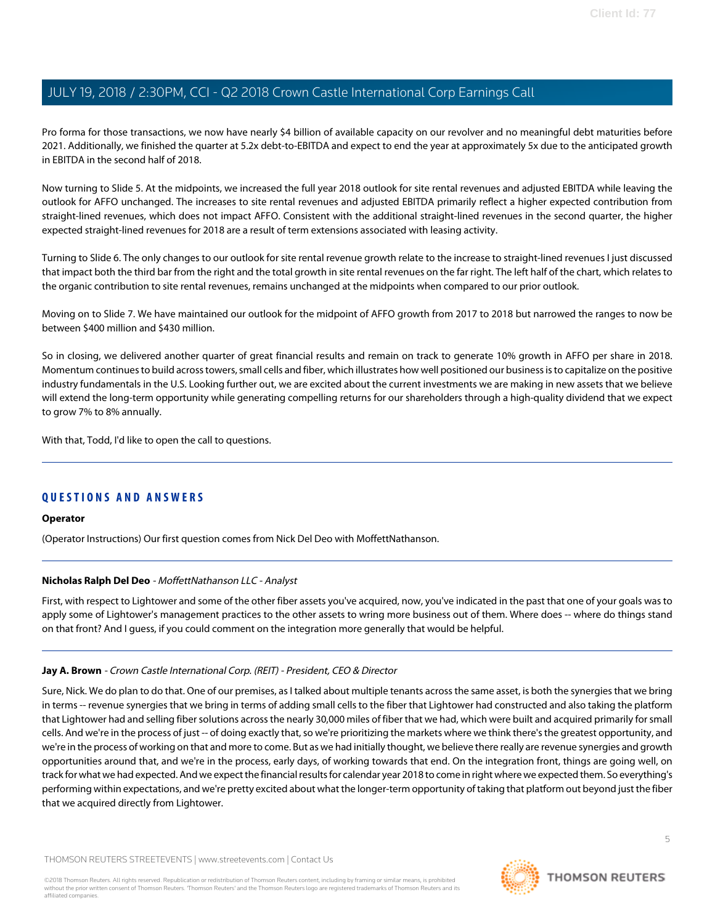Pro forma for those transactions, we now have nearly \$4 billion of available capacity on our revolver and no meaningful debt maturities before 2021. Additionally, we finished the quarter at 5.2x debt-to-EBITDA and expect to end the year at approximately 5x due to the anticipated growth in EBITDA in the second half of 2018.

Now turning to Slide 5. At the midpoints, we increased the full year 2018 outlook for site rental revenues and adjusted EBITDA while leaving the outlook for AFFO unchanged. The increases to site rental revenues and adjusted EBITDA primarily reflect a higher expected contribution from straight-lined revenues, which does not impact AFFO. Consistent with the additional straight-lined revenues in the second quarter, the higher expected straight-lined revenues for 2018 are a result of term extensions associated with leasing activity.

Turning to Slide 6. The only changes to our outlook for site rental revenue growth relate to the increase to straight-lined revenues I just discussed that impact both the third bar from the right and the total growth in site rental revenues on the far right. The left half of the chart, which relates to the organic contribution to site rental revenues, remains unchanged at the midpoints when compared to our prior outlook.

Moving on to Slide 7. We have maintained our outlook for the midpoint of AFFO growth from 2017 to 2018 but narrowed the ranges to now be between \$400 million and \$430 million.

So in closing, we delivered another quarter of great financial results and remain on track to generate 10% growth in AFFO per share in 2018. Momentum continues to build across towers, small cells and fiber, which illustrates how well positioned our business is to capitalize on the positive industry fundamentals in the U.S. Looking further out, we are excited about the current investments we are making in new assets that we believe will extend the long-term opportunity while generating compelling returns for our shareholders through a high-quality dividend that we expect to grow 7% to 8% annually.

With that, Todd, I'd like to open the call to questions.

# **QUESTIONS AND ANSWERS**

# <span id="page-4-0"></span>**Operator**

(Operator Instructions) Our first question comes from Nick Del Deo with MoffettNathanson.

# **Nicholas Ralph Del Deo** - MoffettNathanson LLC - Analyst

First, with respect to Lightower and some of the other fiber assets you've acquired, now, you've indicated in the past that one of your goals was to apply some of Lightower's management practices to the other assets to wring more business out of them. Where does -- where do things stand on that front? And I guess, if you could comment on the integration more generally that would be helpful.

#### **Jay A. Brown** - Crown Castle International Corp. (REIT) - President, CEO & Director

Sure, Nick. We do plan to do that. One of our premises, as I talked about multiple tenants across the same asset, is both the synergies that we bring in terms -- revenue synergies that we bring in terms of adding small cells to the fiber that Lightower had constructed and also taking the platform that Lightower had and selling fiber solutions across the nearly 30,000 miles of fiber that we had, which were built and acquired primarily for small cells. And we're in the process of just -- of doing exactly that, so we're prioritizing the markets where we think there's the greatest opportunity, and we're in the process of working on that and more to come. But as we had initially thought, we believe there really are revenue synergies and growth opportunities around that, and we're in the process, early days, of working towards that end. On the integration front, things are going well, on track for what we had expected. And we expect the financial results for calendar year 2018 to come in right where we expected them. So everything's performing within expectations, and we're pretty excited about what the longer-term opportunity of taking that platform out beyond just the fiber that we acquired directly from Lightower.

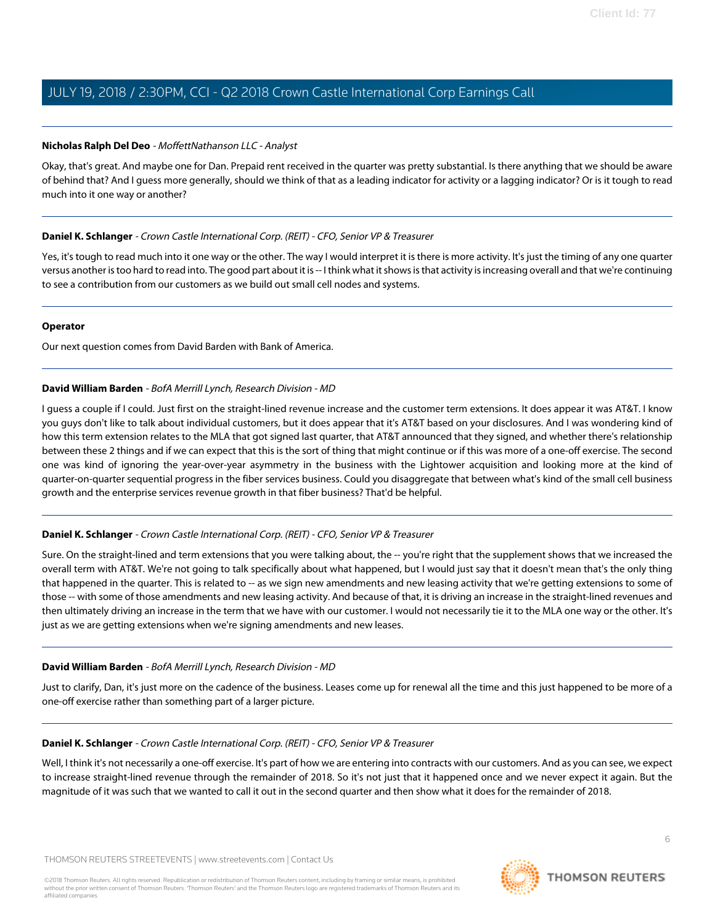## **Nicholas Ralph Del Deo** - MoffettNathanson LLC - Analyst

Okay, that's great. And maybe one for Dan. Prepaid rent received in the quarter was pretty substantial. Is there anything that we should be aware of behind that? And I guess more generally, should we think of that as a leading indicator for activity or a lagging indicator? Or is it tough to read much into it one way or another?

## **Daniel K. Schlanger** - Crown Castle International Corp. (REIT) - CFO, Senior VP & Treasurer

Yes, it's tough to read much into it one way or the other. The way I would interpret it is there is more activity. It's just the timing of any one quarter versus another is too hard to read into. The good part about it is -- I think what it shows is that activity is increasing overall and that we're continuing to see a contribution from our customers as we build out small cell nodes and systems.

## **Operator**

<span id="page-5-0"></span>Our next question comes from David Barden with Bank of America.

# **David William Barden** - BofA Merrill Lynch, Research Division - MD

I guess a couple if I could. Just first on the straight-lined revenue increase and the customer term extensions. It does appear it was AT&T. I know you guys don't like to talk about individual customers, but it does appear that it's AT&T based on your disclosures. And I was wondering kind of how this term extension relates to the MLA that got signed last quarter, that AT&T announced that they signed, and whether there's relationship between these 2 things and if we can expect that this is the sort of thing that might continue or if this was more of a one-off exercise. The second one was kind of ignoring the year-over-year asymmetry in the business with the Lightower acquisition and looking more at the kind of quarter-on-quarter sequential progress in the fiber services business. Could you disaggregate that between what's kind of the small cell business growth and the enterprise services revenue growth in that fiber business? That'd be helpful.

# **Daniel K. Schlanger** - Crown Castle International Corp. (REIT) - CFO, Senior VP & Treasurer

Sure. On the straight-lined and term extensions that you were talking about, the -- you're right that the supplement shows that we increased the overall term with AT&T. We're not going to talk specifically about what happened, but I would just say that it doesn't mean that's the only thing that happened in the quarter. This is related to -- as we sign new amendments and new leasing activity that we're getting extensions to some of those -- with some of those amendments and new leasing activity. And because of that, it is driving an increase in the straight-lined revenues and then ultimately driving an increase in the term that we have with our customer. I would not necessarily tie it to the MLA one way or the other. It's just as we are getting extensions when we're signing amendments and new leases.

# **David William Barden** - BofA Merrill Lynch, Research Division - MD

Just to clarify, Dan, it's just more on the cadence of the business. Leases come up for renewal all the time and this just happened to be more of a one-off exercise rather than something part of a larger picture.

#### **Daniel K. Schlanger** - Crown Castle International Corp. (REIT) - CFO, Senior VP & Treasurer

Well, I think it's not necessarily a one-off exercise. It's part of how we are entering into contracts with our customers. And as you can see, we expect to increase straight-lined revenue through the remainder of 2018. So it's not just that it happened once and we never expect it again. But the magnitude of it was such that we wanted to call it out in the second quarter and then show what it does for the remainder of 2018.

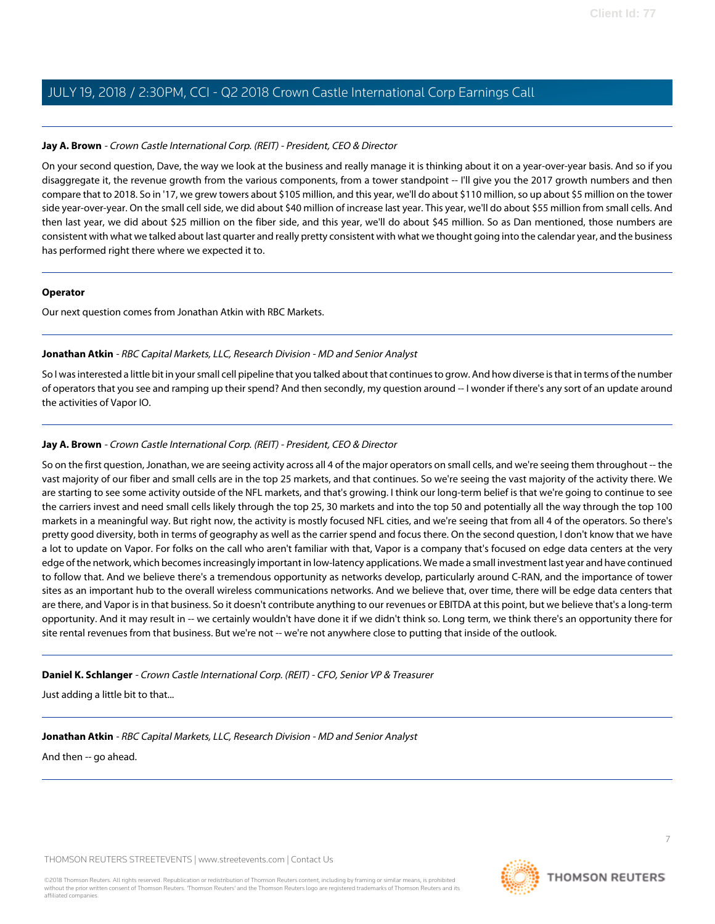#### **Jay A. Brown** - Crown Castle International Corp. (REIT) - President, CEO & Director

On your second question, Dave, the way we look at the business and really manage it is thinking about it on a year-over-year basis. And so if you disaggregate it, the revenue growth from the various components, from a tower standpoint -- I'll give you the 2017 growth numbers and then compare that to 2018. So in '17, we grew towers about \$105 million, and this year, we'll do about \$110 million, so up about \$5 million on the tower side year-over-year. On the small cell side, we did about \$40 million of increase last year. This year, we'll do about \$55 million from small cells. And then last year, we did about \$25 million on the fiber side, and this year, we'll do about \$45 million. So as Dan mentioned, those numbers are consistent with what we talked about last quarter and really pretty consistent with what we thought going into the calendar year, and the business has performed right there where we expected it to.

#### **Operator**

<span id="page-6-0"></span>Our next question comes from Jonathan Atkin with RBC Markets.

## **Jonathan Atkin** - RBC Capital Markets, LLC, Research Division - MD and Senior Analyst

So I was interested a little bit in your small cell pipeline that you talked about that continues to grow. And how diverse is that in terms of the number of operators that you see and ramping up their spend? And then secondly, my question around -- I wonder if there's any sort of an update around the activities of Vapor IO.

## **Jay A. Brown** - Crown Castle International Corp. (REIT) - President, CEO & Director

So on the first question, Jonathan, we are seeing activity across all 4 of the major operators on small cells, and we're seeing them throughout -- the vast majority of our fiber and small cells are in the top 25 markets, and that continues. So we're seeing the vast majority of the activity there. We are starting to see some activity outside of the NFL markets, and that's growing. I think our long-term belief is that we're going to continue to see the carriers invest and need small cells likely through the top 25, 30 markets and into the top 50 and potentially all the way through the top 100 markets in a meaningful way. But right now, the activity is mostly focused NFL cities, and we're seeing that from all 4 of the operators. So there's pretty good diversity, both in terms of geography as well as the carrier spend and focus there. On the second question, I don't know that we have a lot to update on Vapor. For folks on the call who aren't familiar with that, Vapor is a company that's focused on edge data centers at the very edge of the network, which becomes increasingly important in low-latency applications. We made a small investment last year and have continued to follow that. And we believe there's a tremendous opportunity as networks develop, particularly around C-RAN, and the importance of tower sites as an important hub to the overall wireless communications networks. And we believe that, over time, there will be edge data centers that are there, and Vapor is in that business. So it doesn't contribute anything to our revenues or EBITDA at this point, but we believe that's a long-term opportunity. And it may result in -- we certainly wouldn't have done it if we didn't think so. Long term, we think there's an opportunity there for site rental revenues from that business. But we're not -- we're not anywhere close to putting that inside of the outlook.

#### **Daniel K. Schlanger** - Crown Castle International Corp. (REIT) - CFO, Senior VP & Treasurer

Just adding a little bit to that...

**Jonathan Atkin** - RBC Capital Markets, LLC, Research Division - MD and Senior Analyst

And then -- go ahead.



**THOMSON REUTERS**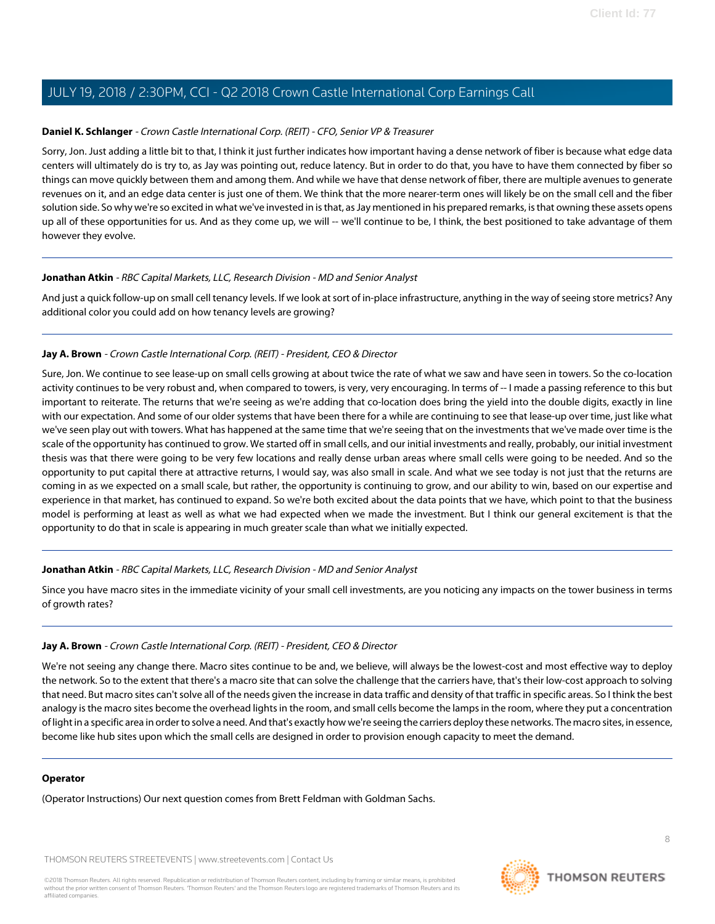#### **Daniel K. Schlanger** - Crown Castle International Corp. (REIT) - CFO, Senior VP & Treasurer

Sorry, Jon. Just adding a little bit to that, I think it just further indicates how important having a dense network of fiber is because what edge data centers will ultimately do is try to, as Jay was pointing out, reduce latency. But in order to do that, you have to have them connected by fiber so things can move quickly between them and among them. And while we have that dense network of fiber, there are multiple avenues to generate revenues on it, and an edge data center is just one of them. We think that the more nearer-term ones will likely be on the small cell and the fiber solution side. So why we're so excited in what we've invested in is that, as Jay mentioned in his prepared remarks, is that owning these assets opens up all of these opportunities for us. And as they come up, we will -- we'll continue to be, I think, the best positioned to take advantage of them however they evolve.

#### **Jonathan Atkin** - RBC Capital Markets, LLC, Research Division - MD and Senior Analyst

And just a quick follow-up on small cell tenancy levels. If we look at sort of in-place infrastructure, anything in the way of seeing store metrics? Any additional color you could add on how tenancy levels are growing?

#### **Jay A. Brown** - Crown Castle International Corp. (REIT) - President, CEO & Director

Sure, Jon. We continue to see lease-up on small cells growing at about twice the rate of what we saw and have seen in towers. So the co-location activity continues to be very robust and, when compared to towers, is very, very encouraging. In terms of -- I made a passing reference to this but important to reiterate. The returns that we're seeing as we're adding that co-location does bring the yield into the double digits, exactly in line with our expectation. And some of our older systems that have been there for a while are continuing to see that lease-up over time, just like what we've seen play out with towers. What has happened at the same time that we're seeing that on the investments that we've made over time is the scale of the opportunity has continued to grow. We started off in small cells, and our initial investments and really, probably, our initial investment thesis was that there were going to be very few locations and really dense urban areas where small cells were going to be needed. And so the opportunity to put capital there at attractive returns, I would say, was also small in scale. And what we see today is not just that the returns are coming in as we expected on a small scale, but rather, the opportunity is continuing to grow, and our ability to win, based on our expertise and experience in that market, has continued to expand. So we're both excited about the data points that we have, which point to that the business model is performing at least as well as what we had expected when we made the investment. But I think our general excitement is that the opportunity to do that in scale is appearing in much greater scale than what we initially expected.

#### **Jonathan Atkin** - RBC Capital Markets, LLC, Research Division - MD and Senior Analyst

Since you have macro sites in the immediate vicinity of your small cell investments, are you noticing any impacts on the tower business in terms of growth rates?

## **Jay A. Brown** - Crown Castle International Corp. (REIT) - President, CEO & Director

We're not seeing any change there. Macro sites continue to be and, we believe, will always be the lowest-cost and most effective way to deploy the network. So to the extent that there's a macro site that can solve the challenge that the carriers have, that's their low-cost approach to solving that need. But macro sites can't solve all of the needs given the increase in data traffic and density of that traffic in specific areas. So I think the best analogy is the macro sites become the overhead lights in the room, and small cells become the lamps in the room, where they put a concentration of light in a specific area in order to solve a need. And that's exactly how we're seeing the carriers deploy these networks. The macro sites, in essence, become like hub sites upon which the small cells are designed in order to provision enough capacity to meet the demand.

#### **Operator**

(Operator Instructions) Our next question comes from Brett Feldman with Goldman Sachs.

THOMSON REUTERS STREETEVENTS | [www.streetevents.com](http://www.streetevents.com) | [Contact Us](http://www010.streetevents.com/contact.asp)

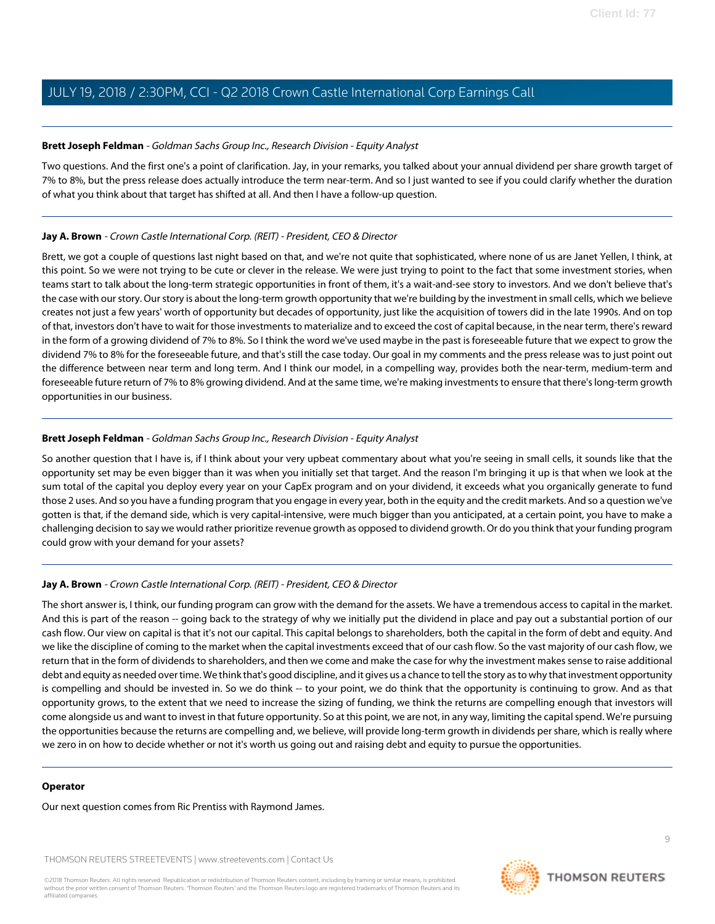#### <span id="page-8-0"></span>**Brett Joseph Feldman** - Goldman Sachs Group Inc., Research Division - Equity Analyst

Two questions. And the first one's a point of clarification. Jay, in your remarks, you talked about your annual dividend per share growth target of 7% to 8%, but the press release does actually introduce the term near-term. And so I just wanted to see if you could clarify whether the duration of what you think about that target has shifted at all. And then I have a follow-up question.

## **Jay A. Brown** - Crown Castle International Corp. (REIT) - President, CEO & Director

Brett, we got a couple of questions last night based on that, and we're not quite that sophisticated, where none of us are Janet Yellen, I think, at this point. So we were not trying to be cute or clever in the release. We were just trying to point to the fact that some investment stories, when teams start to talk about the long-term strategic opportunities in front of them, it's a wait-and-see story to investors. And we don't believe that's the case with our story. Our story is about the long-term growth opportunity that we're building by the investment in small cells, which we believe creates not just a few years' worth of opportunity but decades of opportunity, just like the acquisition of towers did in the late 1990s. And on top of that, investors don't have to wait for those investments to materialize and to exceed the cost of capital because, in the near term, there's reward in the form of a growing dividend of 7% to 8%. So I think the word we've used maybe in the past is foreseeable future that we expect to grow the dividend 7% to 8% for the foreseeable future, and that's still the case today. Our goal in my comments and the press release was to just point out the difference between near term and long term. And I think our model, in a compelling way, provides both the near-term, medium-term and foreseeable future return of 7% to 8% growing dividend. And at the same time, we're making investments to ensure that there's long-term growth opportunities in our business.

## **Brett Joseph Feldman** - Goldman Sachs Group Inc., Research Division - Equity Analyst

So another question that I have is, if I think about your very upbeat commentary about what you're seeing in small cells, it sounds like that the opportunity set may be even bigger than it was when you initially set that target. And the reason I'm bringing it up is that when we look at the sum total of the capital you deploy every year on your CapEx program and on your dividend, it exceeds what you organically generate to fund those 2 uses. And so you have a funding program that you engage in every year, both in the equity and the credit markets. And so a question we've gotten is that, if the demand side, which is very capital-intensive, were much bigger than you anticipated, at a certain point, you have to make a challenging decision to say we would rather prioritize revenue growth as opposed to dividend growth. Or do you think that your funding program could grow with your demand for your assets?

# **Jay A. Brown** - Crown Castle International Corp. (REIT) - President, CEO & Director

The short answer is, I think, our funding program can grow with the demand for the assets. We have a tremendous access to capital in the market. And this is part of the reason -- going back to the strategy of why we initially put the dividend in place and pay out a substantial portion of our cash flow. Our view on capital is that it's not our capital. This capital belongs to shareholders, both the capital in the form of debt and equity. And we like the discipline of coming to the market when the capital investments exceed that of our cash flow. So the vast majority of our cash flow, we return that in the form of dividends to shareholders, and then we come and make the case for why the investment makes sense to raise additional debt and equity as needed over time. We think that's good discipline, and it gives us a chance to tell the story as to why that investment opportunity is compelling and should be invested in. So we do think -- to your point, we do think that the opportunity is continuing to grow. And as that opportunity grows, to the extent that we need to increase the sizing of funding, we think the returns are compelling enough that investors will come alongside us and want to invest in that future opportunity. So at this point, we are not, in any way, limiting the capital spend. We're pursuing the opportunities because the returns are compelling and, we believe, will provide long-term growth in dividends per share, which is really where we zero in on how to decide whether or not it's worth us going out and raising debt and equity to pursue the opportunities.

#### **Operator**

Our next question comes from Ric Prentiss with Raymond James.

THOMSON REUTERS STREETEVENTS | [www.streetevents.com](http://www.streetevents.com) | [Contact Us](http://www010.streetevents.com/contact.asp)

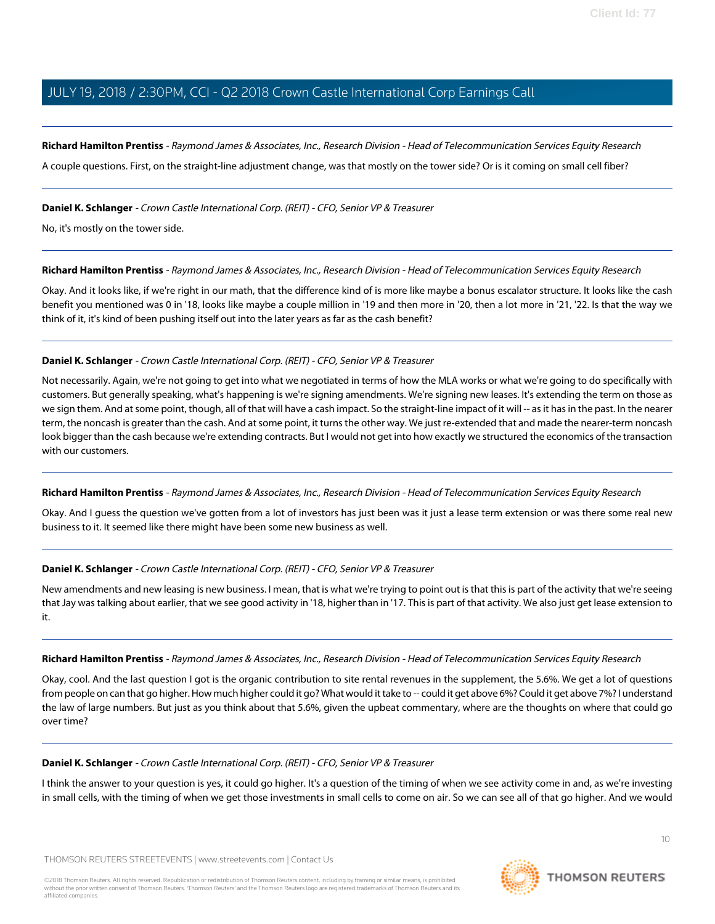<span id="page-9-0"></span>**Richard Hamilton Prentiss** - Raymond James & Associates, Inc., Research Division - Head of Telecommunication Services Equity Research

A couple questions. First, on the straight-line adjustment change, was that mostly on the tower side? Or is it coming on small cell fiber?

#### **Daniel K. Schlanger** - Crown Castle International Corp. (REIT) - CFO, Senior VP & Treasurer

No, it's mostly on the tower side.

#### **Richard Hamilton Prentiss** - Raymond James & Associates, Inc., Research Division - Head of Telecommunication Services Equity Research

Okay. And it looks like, if we're right in our math, that the difference kind of is more like maybe a bonus escalator structure. It looks like the cash benefit you mentioned was 0 in '18, looks like maybe a couple million in '19 and then more in '20, then a lot more in '21, '22. Is that the way we think of it, it's kind of been pushing itself out into the later years as far as the cash benefit?

## **Daniel K. Schlanger** - Crown Castle International Corp. (REIT) - CFO, Senior VP & Treasurer

Not necessarily. Again, we're not going to get into what we negotiated in terms of how the MLA works or what we're going to do specifically with customers. But generally speaking, what's happening is we're signing amendments. We're signing new leases. It's extending the term on those as we sign them. And at some point, though, all of that will have a cash impact. So the straight-line impact of it will -- as it has in the past. In the nearer term, the noncash is greater than the cash. And at some point, it turns the other way. We just re-extended that and made the nearer-term noncash look bigger than the cash because we're extending contracts. But I would not get into how exactly we structured the economics of the transaction with our customers.

#### **Richard Hamilton Prentiss** - Raymond James & Associates, Inc., Research Division - Head of Telecommunication Services Equity Research

Okay. And I guess the question we've gotten from a lot of investors has just been was it just a lease term extension or was there some real new business to it. It seemed like there might have been some new business as well.

#### **Daniel K. Schlanger** - Crown Castle International Corp. (REIT) - CFO, Senior VP & Treasurer

New amendments and new leasing is new business. I mean, that is what we're trying to point out is that this is part of the activity that we're seeing that Jay was talking about earlier, that we see good activity in '18, higher than in '17. This is part of that activity. We also just get lease extension to it.

#### **Richard Hamilton Prentiss** - Raymond James & Associates, Inc., Research Division - Head of Telecommunication Services Equity Research

Okay, cool. And the last question I got is the organic contribution to site rental revenues in the supplement, the 5.6%. We get a lot of questions from people on can that go higher. How much higher could it go? What would it take to -- could it get above 6%? Could it get above 7%? I understand the law of large numbers. But just as you think about that 5.6%, given the upbeat commentary, where are the thoughts on where that could go over time?

#### **Daniel K. Schlanger** - Crown Castle International Corp. (REIT) - CFO, Senior VP & Treasurer

I think the answer to your question is yes, it could go higher. It's a question of the timing of when we see activity come in and, as we're investing in small cells, with the timing of when we get those investments in small cells to come on air. So we can see all of that go higher. And we would

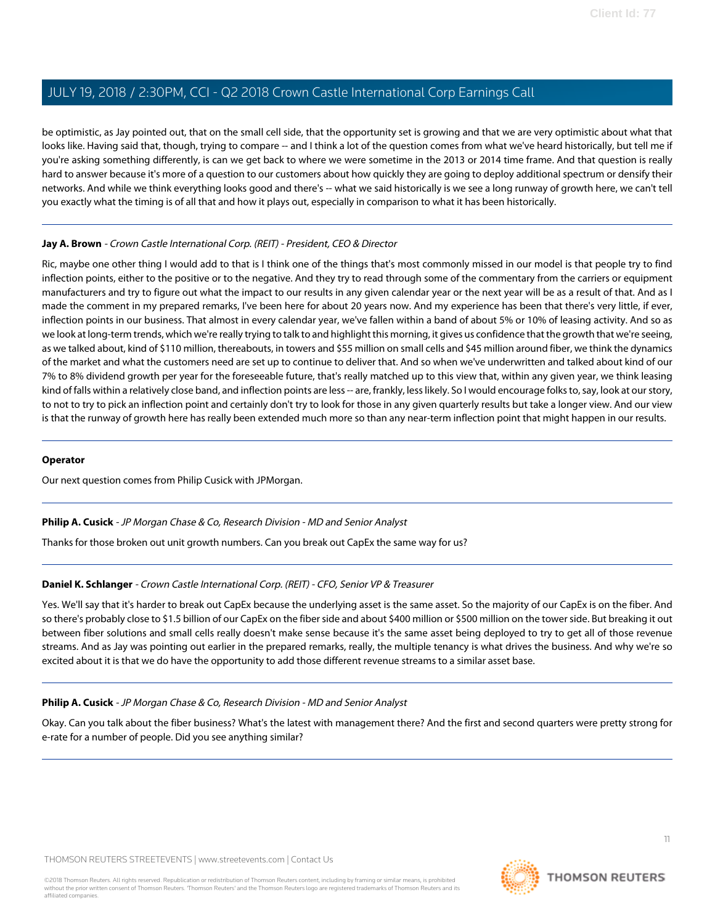be optimistic, as Jay pointed out, that on the small cell side, that the opportunity set is growing and that we are very optimistic about what that looks like. Having said that, though, trying to compare -- and I think a lot of the question comes from what we've heard historically, but tell me if you're asking something differently, is can we get back to where we were sometime in the 2013 or 2014 time frame. And that question is really hard to answer because it's more of a question to our customers about how quickly they are going to deploy additional spectrum or densify their networks. And while we think everything looks good and there's -- what we said historically is we see a long runway of growth here, we can't tell you exactly what the timing is of all that and how it plays out, especially in comparison to what it has been historically.

## **Jay A. Brown** - Crown Castle International Corp. (REIT) - President, CEO & Director

Ric, maybe one other thing I would add to that is I think one of the things that's most commonly missed in our model is that people try to find inflection points, either to the positive or to the negative. And they try to read through some of the commentary from the carriers or equipment manufacturers and try to figure out what the impact to our results in any given calendar year or the next year will be as a result of that. And as I made the comment in my prepared remarks, I've been here for about 20 years now. And my experience has been that there's very little, if ever, inflection points in our business. That almost in every calendar year, we've fallen within a band of about 5% or 10% of leasing activity. And so as we look at long-term trends, which we're really trying to talk to and highlight this morning, it gives us confidence that the growth that we're seeing, as we talked about, kind of \$110 million, thereabouts, in towers and \$55 million on small cells and \$45 million around fiber, we think the dynamics of the market and what the customers need are set up to continue to deliver that. And so when we've underwritten and talked about kind of our 7% to 8% dividend growth per year for the foreseeable future, that's really matched up to this view that, within any given year, we think leasing kind of falls within a relatively close band, and inflection points are less -- are, frankly, less likely. So I would encourage folks to, say, look at our story, to not to try to pick an inflection point and certainly don't try to look for those in any given quarterly results but take a longer view. And our view is that the runway of growth here has really been extended much more so than any near-term inflection point that might happen in our results.

#### **Operator**

<span id="page-10-0"></span>Our next question comes from Philip Cusick with JPMorgan.

#### **Philip A. Cusick** - JP Morgan Chase & Co, Research Division - MD and Senior Analyst

Thanks for those broken out unit growth numbers. Can you break out CapEx the same way for us?

#### **Daniel K. Schlanger** - Crown Castle International Corp. (REIT) - CFO, Senior VP & Treasurer

Yes. We'll say that it's harder to break out CapEx because the underlying asset is the same asset. So the majority of our CapEx is on the fiber. And so there's probably close to \$1.5 billion of our CapEx on the fiber side and about \$400 million or \$500 million on the tower side. But breaking it out between fiber solutions and small cells really doesn't make sense because it's the same asset being deployed to try to get all of those revenue streams. And as Jay was pointing out earlier in the prepared remarks, really, the multiple tenancy is what drives the business. And why we're so excited about it is that we do have the opportunity to add those different revenue streams to a similar asset base.

#### **Philip A. Cusick** - JP Morgan Chase & Co, Research Division - MD and Senior Analyst

Okay. Can you talk about the fiber business? What's the latest with management there? And the first and second quarters were pretty strong for e-rate for a number of people. Did you see anything similar?

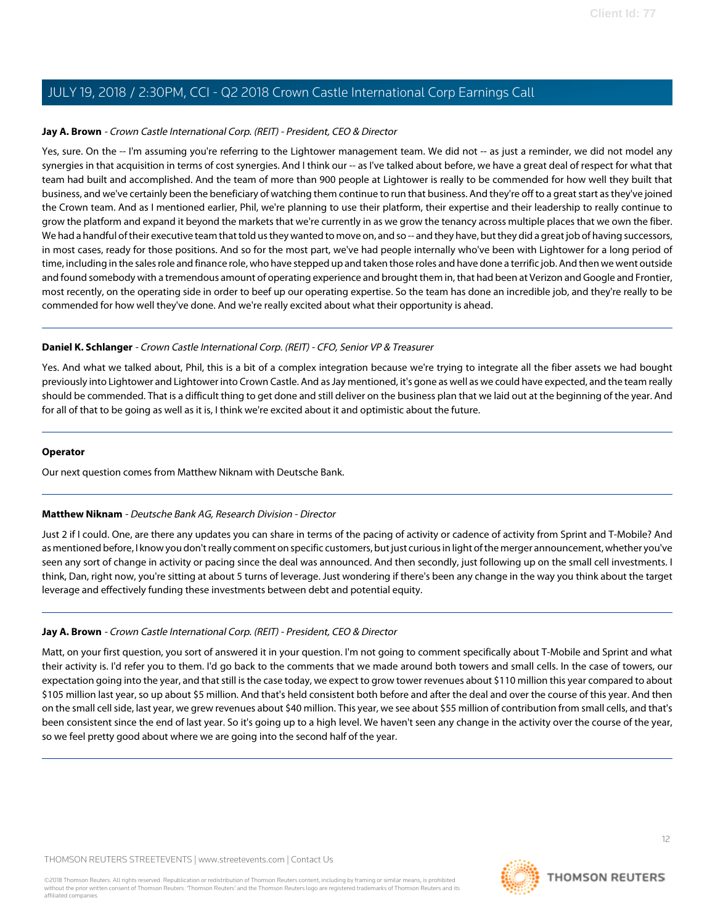# **Jay A. Brown** - Crown Castle International Corp. (REIT) - President, CEO & Director

Yes, sure. On the -- I'm assuming you're referring to the Lightower management team. We did not -- as just a reminder, we did not model any synergies in that acquisition in terms of cost synergies. And I think our -- as I've talked about before, we have a great deal of respect for what that team had built and accomplished. And the team of more than 900 people at Lightower is really to be commended for how well they built that business, and we've certainly been the beneficiary of watching them continue to run that business. And they're off to a great start as they've joined the Crown team. And as I mentioned earlier, Phil, we're planning to use their platform, their expertise and their leadership to really continue to grow the platform and expand it beyond the markets that we're currently in as we grow the tenancy across multiple places that we own the fiber. We had a handful of their executive team that told us they wanted to move on, and so -- and they have, but they did a great job of having successors, in most cases, ready for those positions. And so for the most part, we've had people internally who've been with Lightower for a long period of time, including in the sales role and finance role, who have stepped up and taken those roles and have done a terrific job. And then we went outside and found somebody with a tremendous amount of operating experience and brought them in, that had been at Verizon and Google and Frontier, most recently, on the operating side in order to beef up our operating expertise. So the team has done an incredible job, and they're really to be commended for how well they've done. And we're really excited about what their opportunity is ahead.

## **Daniel K. Schlanger** - Crown Castle International Corp. (REIT) - CFO, Senior VP & Treasurer

Yes. And what we talked about, Phil, this is a bit of a complex integration because we're trying to integrate all the fiber assets we had bought previously into Lightower and Lightower into Crown Castle. And as Jay mentioned, it's gone as well as we could have expected, and the team really should be commended. That is a difficult thing to get done and still deliver on the business plan that we laid out at the beginning of the year. And for all of that to be going as well as it is, I think we're excited about it and optimistic about the future.

#### **Operator**

<span id="page-11-0"></span>Our next question comes from Matthew Niknam with Deutsche Bank.

# **Matthew Niknam** - Deutsche Bank AG, Research Division - Director

Just 2 if I could. One, are there any updates you can share in terms of the pacing of activity or cadence of activity from Sprint and T-Mobile? And as mentioned before, I know you don't really comment on specific customers, but just curious in light of the merger announcement, whether you've seen any sort of change in activity or pacing since the deal was announced. And then secondly, just following up on the small cell investments. I think, Dan, right now, you're sitting at about 5 turns of leverage. Just wondering if there's been any change in the way you think about the target leverage and effectively funding these investments between debt and potential equity.

# **Jay A. Brown** - Crown Castle International Corp. (REIT) - President, CEO & Director

Matt, on your first question, you sort of answered it in your question. I'm not going to comment specifically about T-Mobile and Sprint and what their activity is. I'd refer you to them. I'd go back to the comments that we made around both towers and small cells. In the case of towers, our expectation going into the year, and that still is the case today, we expect to grow tower revenues about \$110 million this year compared to about \$105 million last year, so up about \$5 million. And that's held consistent both before and after the deal and over the course of this year. And then on the small cell side, last year, we grew revenues about \$40 million. This year, we see about \$55 million of contribution from small cells, and that's been consistent since the end of last year. So it's going up to a high level. We haven't seen any change in the activity over the course of the year, so we feel pretty good about where we are going into the second half of the year.

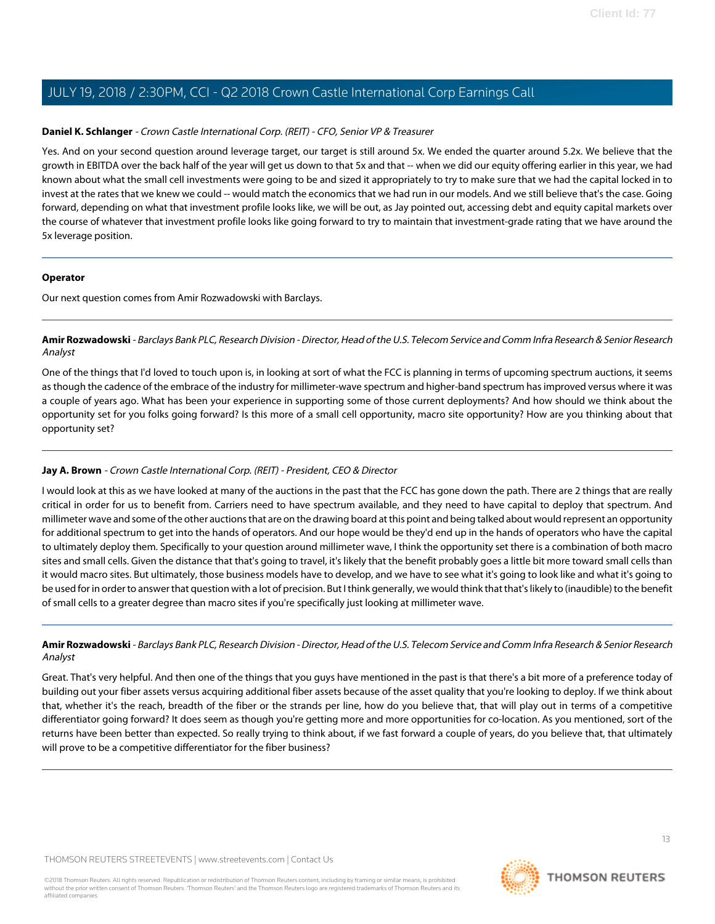#### **Daniel K. Schlanger** - Crown Castle International Corp. (REIT) - CFO, Senior VP & Treasurer

Yes. And on your second question around leverage target, our target is still around 5x. We ended the quarter around 5.2x. We believe that the growth in EBITDA over the back half of the year will get us down to that 5x and that -- when we did our equity offering earlier in this year, we had known about what the small cell investments were going to be and sized it appropriately to try to make sure that we had the capital locked in to invest at the rates that we knew we could -- would match the economics that we had run in our models. And we still believe that's the case. Going forward, depending on what that investment profile looks like, we will be out, as Jay pointed out, accessing debt and equity capital markets over the course of whatever that investment profile looks like going forward to try to maintain that investment-grade rating that we have around the 5x leverage position.

#### **Operator**

<span id="page-12-0"></span>Our next question comes from Amir Rozwadowski with Barclays.

# **Amir Rozwadowski** - Barclays Bank PLC, Research Division - Director, Head of the U.S. Telecom Service and Comm Infra Research & Senior Research Analyst

One of the things that I'd loved to touch upon is, in looking at sort of what the FCC is planning in terms of upcoming spectrum auctions, it seems as though the cadence of the embrace of the industry for millimeter-wave spectrum and higher-band spectrum has improved versus where it was a couple of years ago. What has been your experience in supporting some of those current deployments? And how should we think about the opportunity set for you folks going forward? Is this more of a small cell opportunity, macro site opportunity? How are you thinking about that opportunity set?

# **Jay A. Brown** - Crown Castle International Corp. (REIT) - President, CEO & Director

I would look at this as we have looked at many of the auctions in the past that the FCC has gone down the path. There are 2 things that are really critical in order for us to benefit from. Carriers need to have spectrum available, and they need to have capital to deploy that spectrum. And millimeter wave and some of the other auctions that are on the drawing board at this point and being talked about would represent an opportunity for additional spectrum to get into the hands of operators. And our hope would be they'd end up in the hands of operators who have the capital to ultimately deploy them. Specifically to your question around millimeter wave, I think the opportunity set there is a combination of both macro sites and small cells. Given the distance that that's going to travel, it's likely that the benefit probably goes a little bit more toward small cells than it would macro sites. But ultimately, those business models have to develop, and we have to see what it's going to look like and what it's going to be used for in order to answer that question with a lot of precision. But I think generally, we would think that that's likely to (inaudible) to the benefit of small cells to a greater degree than macro sites if you're specifically just looking at millimeter wave.

# **Amir Rozwadowski** - Barclays Bank PLC, Research Division - Director, Head of the U.S. Telecom Service and Comm Infra Research & Senior Research Analyst

Great. That's very helpful. And then one of the things that you guys have mentioned in the past is that there's a bit more of a preference today of building out your fiber assets versus acquiring additional fiber assets because of the asset quality that you're looking to deploy. If we think about that, whether it's the reach, breadth of the fiber or the strands per line, how do you believe that, that will play out in terms of a competitive differentiator going forward? It does seem as though you're getting more and more opportunities for co-location. As you mentioned, sort of the returns have been better than expected. So really trying to think about, if we fast forward a couple of years, do you believe that, that ultimately will prove to be a competitive differentiator for the fiber business?

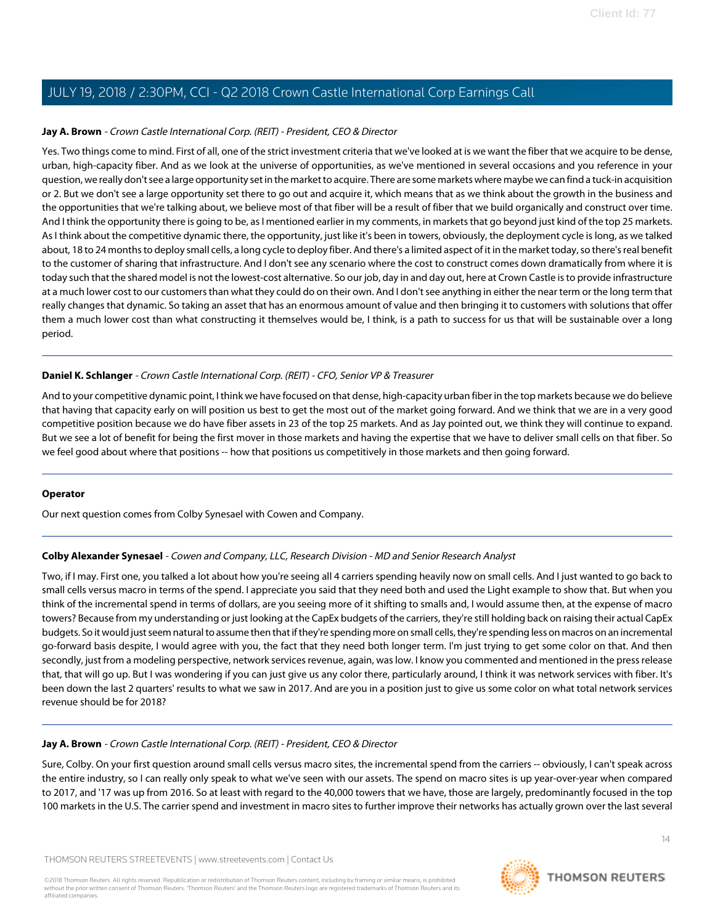# **Jay A. Brown** - Crown Castle International Corp. (REIT) - President, CEO & Director

Yes. Two things come to mind. First of all, one of the strict investment criteria that we've looked at is we want the fiber that we acquire to be dense, urban, high-capacity fiber. And as we look at the universe of opportunities, as we've mentioned in several occasions and you reference in your question, we really don't see a large opportunity set in the market to acquire. There are some markets where maybe we can find a tuck-in acquisition or 2. But we don't see a large opportunity set there to go out and acquire it, which means that as we think about the growth in the business and the opportunities that we're talking about, we believe most of that fiber will be a result of fiber that we build organically and construct over time. And I think the opportunity there is going to be, as I mentioned earlier in my comments, in markets that go beyond just kind of the top 25 markets. As I think about the competitive dynamic there, the opportunity, just like it's been in towers, obviously, the deployment cycle is long, as we talked about, 18 to 24 months to deploy small cells, a long cycle to deploy fiber. And there's a limited aspect of it in the market today, so there's real benefit to the customer of sharing that infrastructure. And I don't see any scenario where the cost to construct comes down dramatically from where it is today such that the shared model is not the lowest-cost alternative. So our job, day in and day out, here at Crown Castle is to provide infrastructure at a much lower cost to our customers than what they could do on their own. And I don't see anything in either the near term or the long term that really changes that dynamic. So taking an asset that has an enormous amount of value and then bringing it to customers with solutions that offer them a much lower cost than what constructing it themselves would be, I think, is a path to success for us that will be sustainable over a long period.

## **Daniel K. Schlanger** - Crown Castle International Corp. (REIT) - CFO, Senior VP & Treasurer

And to your competitive dynamic point, I think we have focused on that dense, high-capacity urban fiber in the top markets because we do believe that having that capacity early on will position us best to get the most out of the market going forward. And we think that we are in a very good competitive position because we do have fiber assets in 23 of the top 25 markets. And as Jay pointed out, we think they will continue to expand. But we see a lot of benefit for being the first mover in those markets and having the expertise that we have to deliver small cells on that fiber. So we feel good about where that positions -- how that positions us competitively in those markets and then going forward.

#### <span id="page-13-0"></span>**Operator**

Our next question comes from Colby Synesael with Cowen and Company.

#### **Colby Alexander Synesael** - Cowen and Company, LLC, Research Division - MD and Senior Research Analyst

Two, if I may. First one, you talked a lot about how you're seeing all 4 carriers spending heavily now on small cells. And I just wanted to go back to small cells versus macro in terms of the spend. I appreciate you said that they need both and used the Light example to show that. But when you think of the incremental spend in terms of dollars, are you seeing more of it shifting to smalls and, I would assume then, at the expense of macro towers? Because from my understanding or just looking at the CapEx budgets of the carriers, they're still holding back on raising their actual CapEx budgets. So it would just seem natural to assume then that if they're spending more on small cells, they're spending less on macros on an incremental go-forward basis despite, I would agree with you, the fact that they need both longer term. I'm just trying to get some color on that. And then secondly, just from a modeling perspective, network services revenue, again, was low. I know you commented and mentioned in the press release that, that will go up. But I was wondering if you can just give us any color there, particularly around, I think it was network services with fiber. It's been down the last 2 quarters' results to what we saw in 2017. And are you in a position just to give us some color on what total network services revenue should be for 2018?

#### **Jay A. Brown** - Crown Castle International Corp. (REIT) - President, CEO & Director

Sure, Colby. On your first question around small cells versus macro sites, the incremental spend from the carriers -- obviously, I can't speak across the entire industry, so I can really only speak to what we've seen with our assets. The spend on macro sites is up year-over-year when compared to 2017, and '17 was up from 2016. So at least with regard to the 40,000 towers that we have, those are largely, predominantly focused in the top 100 markets in the U.S. The carrier spend and investment in macro sites to further improve their networks has actually grown over the last several

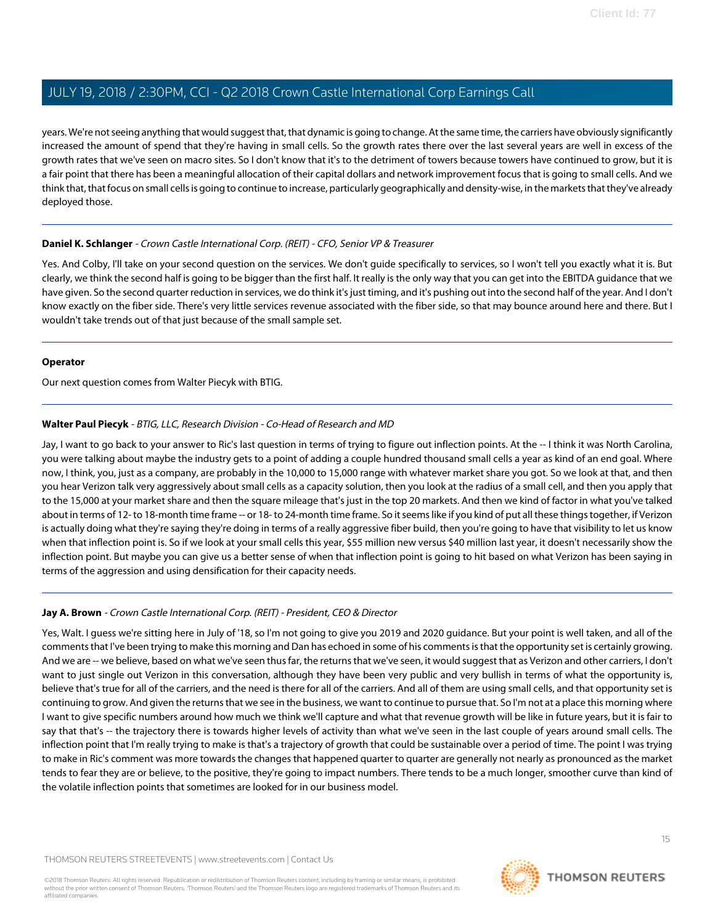years. We're not seeing anything that would suggest that, that dynamic is going to change. At the same time, the carriers have obviously significantly increased the amount of spend that they're having in small cells. So the growth rates there over the last several years are well in excess of the growth rates that we've seen on macro sites. So I don't know that it's to the detriment of towers because towers have continued to grow, but it is a fair point that there has been a meaningful allocation of their capital dollars and network improvement focus that is going to small cells. And we think that, that focus on small cells is going to continue to increase, particularly geographically and density-wise, in the markets that they've already deployed those.

## **Daniel K. Schlanger** - Crown Castle International Corp. (REIT) - CFO, Senior VP & Treasurer

Yes. And Colby, I'll take on your second question on the services. We don't guide specifically to services, so I won't tell you exactly what it is. But clearly, we think the second half is going to be bigger than the first half. It really is the only way that you can get into the EBITDA guidance that we have given. So the second quarter reduction in services, we do think it's just timing, and it's pushing out into the second half of the year. And I don't know exactly on the fiber side. There's very little services revenue associated with the fiber side, so that may bounce around here and there. But I wouldn't take trends out of that just because of the small sample set.

#### **Operator**

<span id="page-14-0"></span>Our next question comes from Walter Piecyk with BTIG.

## **Walter Paul Piecyk** - BTIG, LLC, Research Division - Co-Head of Research and MD

Jay, I want to go back to your answer to Ric's last question in terms of trying to figure out inflection points. At the -- I think it was North Carolina, you were talking about maybe the industry gets to a point of adding a couple hundred thousand small cells a year as kind of an end goal. Where now, I think, you, just as a company, are probably in the 10,000 to 15,000 range with whatever market share you got. So we look at that, and then you hear Verizon talk very aggressively about small cells as a capacity solution, then you look at the radius of a small cell, and then you apply that to the 15,000 at your market share and then the square mileage that's just in the top 20 markets. And then we kind of factor in what you've talked about in terms of 12- to 18-month time frame -- or 18- to 24-month time frame. So it seems like if you kind of put all these things together, if Verizon is actually doing what they're saying they're doing in terms of a really aggressive fiber build, then you're going to have that visibility to let us know when that inflection point is. So if we look at your small cells this year, \$55 million new versus \$40 million last year, it doesn't necessarily show the inflection point. But maybe you can give us a better sense of when that inflection point is going to hit based on what Verizon has been saying in terms of the aggression and using densification for their capacity needs.

# **Jay A. Brown** - Crown Castle International Corp. (REIT) - President, CEO & Director

Yes, Walt. I guess we're sitting here in July of '18, so I'm not going to give you 2019 and 2020 guidance. But your point is well taken, and all of the comments that I've been trying to make this morning and Dan has echoed in some of his comments is that the opportunity set is certainly growing. And we are -- we believe, based on what we've seen thus far, the returns that we've seen, it would suggest that as Verizon and other carriers, I don't want to just single out Verizon in this conversation, although they have been very public and very bullish in terms of what the opportunity is, believe that's true for all of the carriers, and the need is there for all of the carriers. And all of them are using small cells, and that opportunity set is continuing to grow. And given the returns that we see in the business, we want to continue to pursue that. So I'm not at a place this morning where I want to give specific numbers around how much we think we'll capture and what that revenue growth will be like in future years, but it is fair to say that that's -- the trajectory there is towards higher levels of activity than what we've seen in the last couple of years around small cells. The inflection point that I'm really trying to make is that's a trajectory of growth that could be sustainable over a period of time. The point I was trying to make in Ric's comment was more towards the changes that happened quarter to quarter are generally not nearly as pronounced as the market tends to fear they are or believe, to the positive, they're going to impact numbers. There tends to be a much longer, smoother curve than kind of the volatile inflection points that sometimes are looked for in our business model.

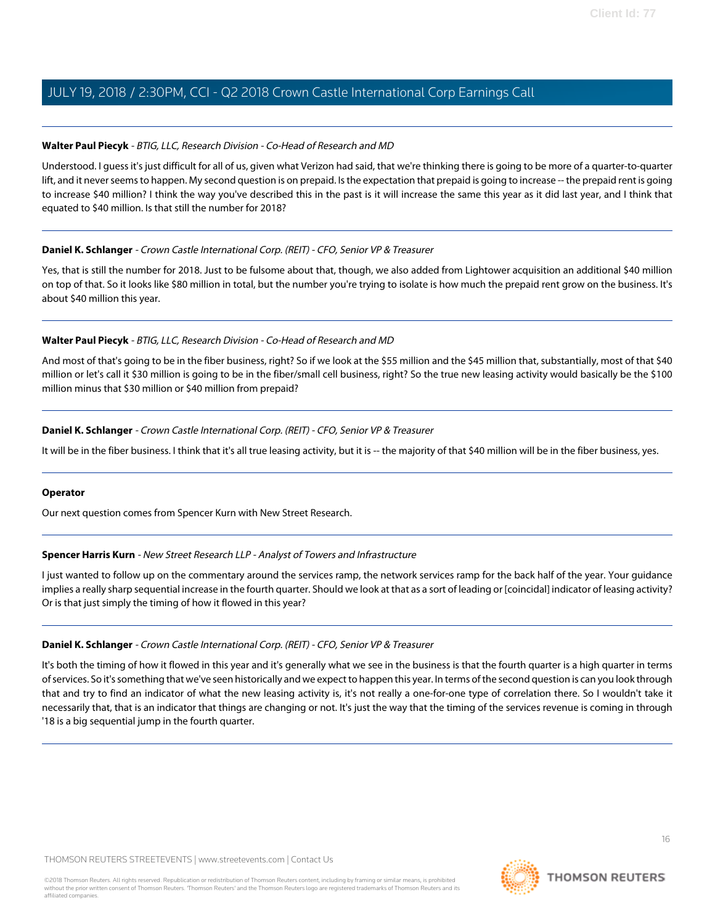## **Walter Paul Piecyk** - BTIG, LLC, Research Division - Co-Head of Research and MD

Understood. I guess it's just difficult for all of us, given what Verizon had said, that we're thinking there is going to be more of a quarter-to-quarter lift, and it never seems to happen. My second question is on prepaid. Is the expectation that prepaid is going to increase -- the prepaid rent is going to increase \$40 million? I think the way you've described this in the past is it will increase the same this year as it did last year, and I think that equated to \$40 million. Is that still the number for 2018?

## **Daniel K. Schlanger** - Crown Castle International Corp. (REIT) - CFO, Senior VP & Treasurer

Yes, that is still the number for 2018. Just to be fulsome about that, though, we also added from Lightower acquisition an additional \$40 million on top of that. So it looks like \$80 million in total, but the number you're trying to isolate is how much the prepaid rent grow on the business. It's about \$40 million this year.

# **Walter Paul Piecyk** - BTIG, LLC, Research Division - Co-Head of Research and MD

And most of that's going to be in the fiber business, right? So if we look at the \$55 million and the \$45 million that, substantially, most of that \$40 million or let's call it \$30 million is going to be in the fiber/small cell business, right? So the true new leasing activity would basically be the \$100 million minus that \$30 million or \$40 million from prepaid?

## **Daniel K. Schlanger** - Crown Castle International Corp. (REIT) - CFO, Senior VP & Treasurer

It will be in the fiber business. I think that it's all true leasing activity, but it is -- the majority of that \$40 million will be in the fiber business, yes.

#### <span id="page-15-0"></span>**Operator**

Our next question comes from Spencer Kurn with New Street Research.

#### **Spencer Harris Kurn** - New Street Research LLP - Analyst of Towers and Infrastructure

I just wanted to follow up on the commentary around the services ramp, the network services ramp for the back half of the year. Your guidance implies a really sharp sequential increase in the fourth quarter. Should we look at that as a sort of leading or [coincidal] indicator of leasing activity? Or is that just simply the timing of how it flowed in this year?

# **Daniel K. Schlanger** - Crown Castle International Corp. (REIT) - CFO, Senior VP & Treasurer

It's both the timing of how it flowed in this year and it's generally what we see in the business is that the fourth quarter is a high quarter in terms of services. So it's something that we've seen historically and we expect to happen this year. In terms of the second question is can you look through that and try to find an indicator of what the new leasing activity is, it's not really a one-for-one type of correlation there. So I wouldn't take it necessarily that, that is an indicator that things are changing or not. It's just the way that the timing of the services revenue is coming in through '18 is a big sequential jump in the fourth quarter.

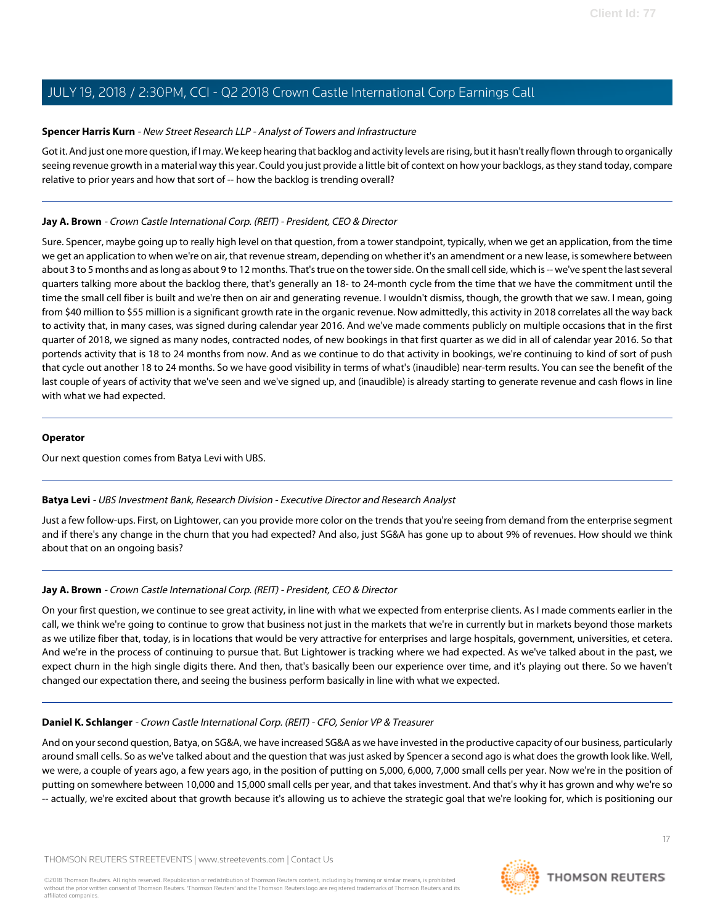## **Spencer Harris Kurn** - New Street Research LLP - Analyst of Towers and Infrastructure

Got it. And just one more question, if I may. We keep hearing that backlog and activity levels are rising, but it hasn't really flown through to organically seeing revenue growth in a material way this year. Could you just provide a little bit of context on how your backlogs, as they stand today, compare relative to prior years and how that sort of -- how the backlog is trending overall?

# **Jay A. Brown** - Crown Castle International Corp. (REIT) - President, CEO & Director

Sure. Spencer, maybe going up to really high level on that question, from a tower standpoint, typically, when we get an application, from the time we get an application to when we're on air, that revenue stream, depending on whether it's an amendment or a new lease, is somewhere between about 3 to 5 months and as long as about 9 to 12 months. That's true on the tower side. On the small cell side, which is -- we've spent the last several quarters talking more about the backlog there, that's generally an 18- to 24-month cycle from the time that we have the commitment until the time the small cell fiber is built and we're then on air and generating revenue. I wouldn't dismiss, though, the growth that we saw. I mean, going from \$40 million to \$55 million is a significant growth rate in the organic revenue. Now admittedly, this activity in 2018 correlates all the way back to activity that, in many cases, was signed during calendar year 2016. And we've made comments publicly on multiple occasions that in the first quarter of 2018, we signed as many nodes, contracted nodes, of new bookings in that first quarter as we did in all of calendar year 2016. So that portends activity that is 18 to 24 months from now. And as we continue to do that activity in bookings, we're continuing to kind of sort of push that cycle out another 18 to 24 months. So we have good visibility in terms of what's (inaudible) near-term results. You can see the benefit of the last couple of years of activity that we've seen and we've signed up, and (inaudible) is already starting to generate revenue and cash flows in line with what we had expected.

## **Operator**

<span id="page-16-0"></span>Our next question comes from Batya Levi with UBS.

#### **Batya Levi** - UBS Investment Bank, Research Division - Executive Director and Research Analyst

Just a few follow-ups. First, on Lightower, can you provide more color on the trends that you're seeing from demand from the enterprise segment and if there's any change in the churn that you had expected? And also, just SG&A has gone up to about 9% of revenues. How should we think about that on an ongoing basis?

# **Jay A. Brown** - Crown Castle International Corp. (REIT) - President, CEO & Director

On your first question, we continue to see great activity, in line with what we expected from enterprise clients. As I made comments earlier in the call, we think we're going to continue to grow that business not just in the markets that we're in currently but in markets beyond those markets as we utilize fiber that, today, is in locations that would be very attractive for enterprises and large hospitals, government, universities, et cetera. And we're in the process of continuing to pursue that. But Lightower is tracking where we had expected. As we've talked about in the past, we expect churn in the high single digits there. And then, that's basically been our experience over time, and it's playing out there. So we haven't changed our expectation there, and seeing the business perform basically in line with what we expected.

# **Daniel K. Schlanger** - Crown Castle International Corp. (REIT) - CFO, Senior VP & Treasurer

And on your second question, Batya, on SG&A, we have increased SG&A as we have invested in the productive capacity of our business, particularly around small cells. So as we've talked about and the question that was just asked by Spencer a second ago is what does the growth look like. Well, we were, a couple of years ago, a few years ago, in the position of putting on 5,000, 6,000, 7,000 small cells per year. Now we're in the position of putting on somewhere between 10,000 and 15,000 small cells per year, and that takes investment. And that's why it has grown and why we're so -- actually, we're excited about that growth because it's allowing us to achieve the strategic goal that we're looking for, which is positioning our

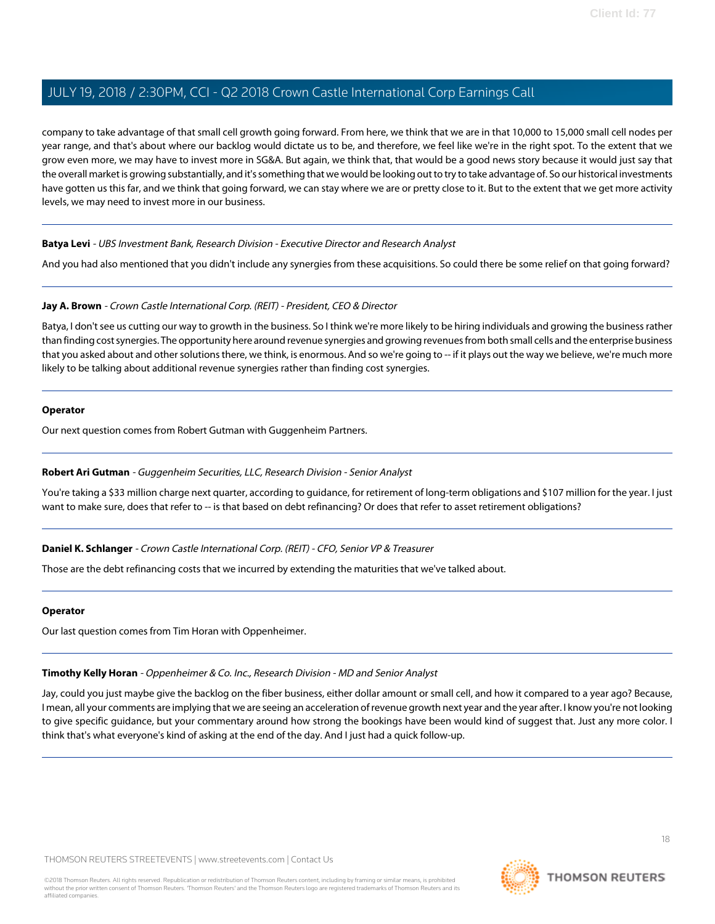company to take advantage of that small cell growth going forward. From here, we think that we are in that 10,000 to 15,000 small cell nodes per year range, and that's about where our backlog would dictate us to be, and therefore, we feel like we're in the right spot. To the extent that we grow even more, we may have to invest more in SG&A. But again, we think that, that would be a good news story because it would just say that the overall market is growing substantially, and it's something that we would be looking out to try to take advantage of. So our historical investments have gotten us this far, and we think that going forward, we can stay where we are or pretty close to it. But to the extent that we get more activity levels, we may need to invest more in our business.

#### **Batya Levi** - UBS Investment Bank, Research Division - Executive Director and Research Analyst

And you had also mentioned that you didn't include any synergies from these acquisitions. So could there be some relief on that going forward?

#### **Jay A. Brown** - Crown Castle International Corp. (REIT) - President, CEO & Director

Batya, I don't see us cutting our way to growth in the business. So I think we're more likely to be hiring individuals and growing the business rather than finding cost synergies. The opportunity here around revenue synergies and growing revenues from both small cells and the enterprise business that you asked about and other solutions there, we think, is enormous. And so we're going to -- if it plays out the way we believe, we're much more likely to be talking about additional revenue synergies rather than finding cost synergies.

# **Operator**

<span id="page-17-0"></span>Our next question comes from Robert Gutman with Guggenheim Partners.

#### **Robert Ari Gutman** - Guggenheim Securities, LLC, Research Division - Senior Analyst

You're taking a \$33 million charge next quarter, according to guidance, for retirement of long-term obligations and \$107 million for the year. I just want to make sure, does that refer to -- is that based on debt refinancing? Or does that refer to asset retirement obligations?

#### **Daniel K. Schlanger** - Crown Castle International Corp. (REIT) - CFO, Senior VP & Treasurer

Those are the debt refinancing costs that we incurred by extending the maturities that we've talked about.

#### <span id="page-17-1"></span>**Operator**

Our last question comes from Tim Horan with Oppenheimer.

#### **Timothy Kelly Horan** - Oppenheimer & Co. Inc., Research Division - MD and Senior Analyst

Jay, could you just maybe give the backlog on the fiber business, either dollar amount or small cell, and how it compared to a year ago? Because, I mean, all your comments are implying that we are seeing an acceleration of revenue growth next year and the year after. I know you're not looking to give specific guidance, but your commentary around how strong the bookings have been would kind of suggest that. Just any more color. I think that's what everyone's kind of asking at the end of the day. And I just had a quick follow-up.

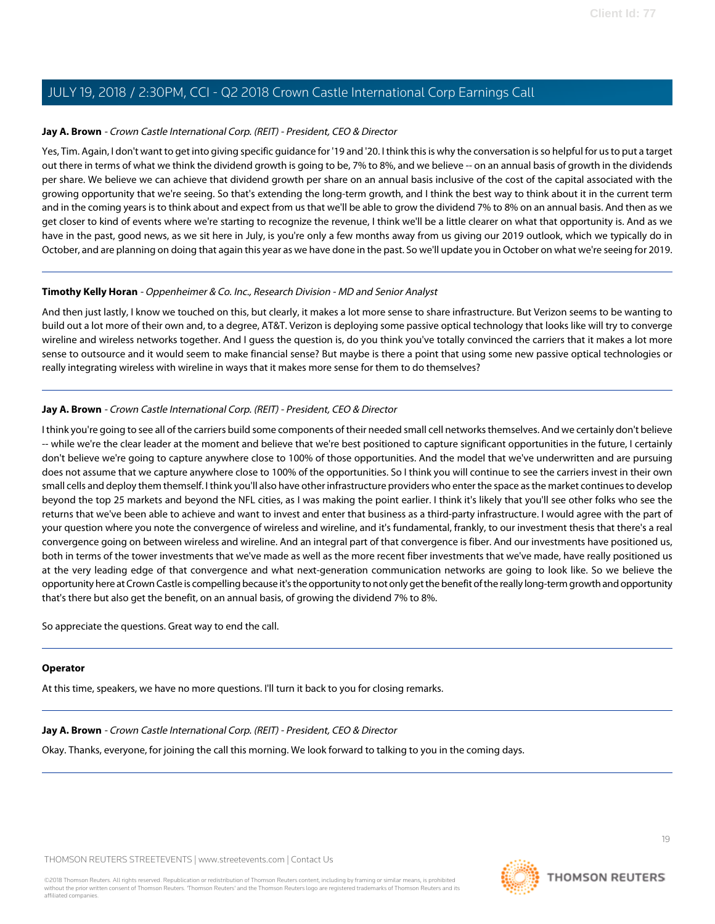#### **Jay A. Brown** - Crown Castle International Corp. (REIT) - President, CEO & Director

Yes, Tim. Again, I don't want to get into giving specific guidance for '19 and '20. I think this is why the conversation is so helpful for us to put a target out there in terms of what we think the dividend growth is going to be, 7% to 8%, and we believe -- on an annual basis of growth in the dividends per share. We believe we can achieve that dividend growth per share on an annual basis inclusive of the cost of the capital associated with the growing opportunity that we're seeing. So that's extending the long-term growth, and I think the best way to think about it in the current term and in the coming years is to think about and expect from us that we'll be able to grow the dividend 7% to 8% on an annual basis. And then as we get closer to kind of events where we're starting to recognize the revenue, I think we'll be a little clearer on what that opportunity is. And as we have in the past, good news, as we sit here in July, is you're only a few months away from us giving our 2019 outlook, which we typically do in October, and are planning on doing that again this year as we have done in the past. So we'll update you in October on what we're seeing for 2019.

## **Timothy Kelly Horan** - Oppenheimer & Co. Inc., Research Division - MD and Senior Analyst

And then just lastly, I know we touched on this, but clearly, it makes a lot more sense to share infrastructure. But Verizon seems to be wanting to build out a lot more of their own and, to a degree, AT&T. Verizon is deploying some passive optical technology that looks like will try to converge wireline and wireless networks together. And I guess the question is, do you think you've totally convinced the carriers that it makes a lot more sense to outsource and it would seem to make financial sense? But maybe is there a point that using some new passive optical technologies or really integrating wireless with wireline in ways that it makes more sense for them to do themselves?

## **Jay A. Brown** - Crown Castle International Corp. (REIT) - President, CEO & Director

I think you're going to see all of the carriers build some components of their needed small cell networks themselves. And we certainly don't believe -- while we're the clear leader at the moment and believe that we're best positioned to capture significant opportunities in the future, I certainly don't believe we're going to capture anywhere close to 100% of those opportunities. And the model that we've underwritten and are pursuing does not assume that we capture anywhere close to 100% of the opportunities. So I think you will continue to see the carriers invest in their own small cells and deploy them themself. I think you'll also have other infrastructure providers who enter the space as the market continues to develop beyond the top 25 markets and beyond the NFL cities, as I was making the point earlier. I think it's likely that you'll see other folks who see the returns that we've been able to achieve and want to invest and enter that business as a third-party infrastructure. I would agree with the part of your question where you note the convergence of wireless and wireline, and it's fundamental, frankly, to our investment thesis that there's a real convergence going on between wireless and wireline. And an integral part of that convergence is fiber. And our investments have positioned us, both in terms of the tower investments that we've made as well as the more recent fiber investments that we've made, have really positioned us at the very leading edge of that convergence and what next-generation communication networks are going to look like. So we believe the opportunity here at Crown Castle is compelling because it's the opportunity to not only get the benefit of the really long-term growth and opportunity that's there but also get the benefit, on an annual basis, of growing the dividend 7% to 8%.

So appreciate the questions. Great way to end the call.

#### **Operator**

At this time, speakers, we have no more questions. I'll turn it back to you for closing remarks.

# **Jay A. Brown** - Crown Castle International Corp. (REIT) - President, CEO & Director

Okay. Thanks, everyone, for joining the call this morning. We look forward to talking to you in the coming days.